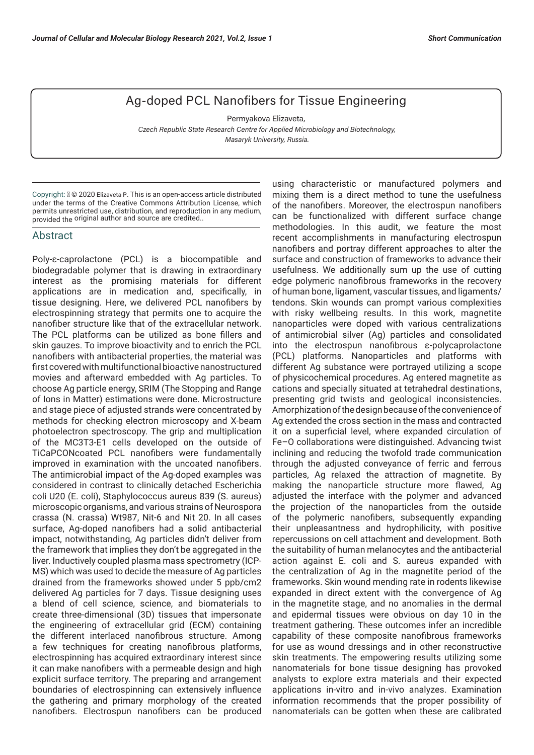## Ag-doped PCL Nanofibers for Tissue Engineering

Permyakova Elizaveta,  *Czech Republic State Research Centre for Applied Microbiology and Biotechnology, Masaryk University, Russia.*

Copyright: © 2020 Elizaveta P. This is an open-access article distributed under the terms of the Creative Commons Attribution License, which permits unrestricted use, distribution, and reproduction in any medium, provided the original author and source are credited..

## Abstract

Poly-ε-caprolactone (PCL) is a biocompatible and biodegradable polymer that is drawing in extraordinary interest as the promising materials for different applications are in medication and, specifically, in tissue designing. Here, we delivered PCL nanofibers by electrospinning strategy that permits one to acquire the nanofiber structure like that of the extracellular network. The PCL platforms can be utilized as bone fillers and skin gauzes. To improve bioactivity and to enrich the PCL nanofibers with antibacterial properties, the material was first covered with multifunctional bioactive nanostructured movies and afterward embedded with Ag particles. To choose Ag particle energy, SRIM (The Stopping and Range of Ions in Matter) estimations were done. Microstructure and stage piece of adjusted strands were concentrated by methods for checking electron microscopy and X-beam photoelectron spectroscopy. The grip and multiplication of the MC3T3-E1 cells developed on the outside of TiCaPCONcoated PCL nanofibers were fundamentally improved in examination with the uncoated nanofibers. The antimicrobial impact of the Ag-doped examples was considered in contrast to clinically detached Escherichia coli U20 (E. coli), Staphylococcus aureus 839 (S. aureus) microscopic organisms, and various strains of Neurospora crassa (N. crassa) Wt987, Nit-6 and Nit 20. In all cases surface, Ag-doped nanofibers had a solid antibacterial impact, notwithstanding, Ag particles didn't deliver from the framework that implies they don't be aggregated in the liver. Inductively coupled plasma mass spectrometry (ICP-MS) which was used to decide the measure of Ag particles drained from the frameworks showed under 5 ppb/cm2 delivered Ag particles for 7 days. Tissue designing uses a blend of cell science, science, and biomaterials to create three-dimensional (3D) tissues that impersonate the engineering of extracellular grid (ECM) containing the different interlaced nanofibrous structure. Among a few techniques for creating nanofibrous platforms, electrospinning has acquired extraordinary interest since it can make nanofibers with a permeable design and high explicit surface territory. The preparing and arrangement boundaries of electrospinning can extensively influence the gathering and primary morphology of the created nanofibers. Electrospun nanofibers can be produced

using characteristic or manufactured polymers and mixing them is a direct method to tune the usefulness of the nanofibers. Moreover, the electrospun nanofibers can be functionalized with different surface change methodologies. In this audit, we feature the most recent accomplishments in manufacturing electrospun nanofibers and portray different approaches to alter the surface and construction of frameworks to advance their usefulness. We additionally sum up the use of cutting edge polymeric nanofibrous frameworks in the recovery of human bone, ligament, vascular tissues, and ligaments/ tendons. Skin wounds can prompt various complexities with risky wellbeing results. In this work, magnetite nanoparticles were doped with various centralizations of antimicrobial silver (Ag) particles and consolidated into the electrospun nanofibrous ε-polycaprolactone (PCL) platforms. Nanoparticles and platforms with different Ag substance were portrayed utilizing a scope of physicochemical procedures. Ag entered magnetite as cations and specially situated at tetrahedral destinations, presenting grid twists and geological inconsistencies. Amorphization of the design because of the convenience of Ag extended the cross section in the mass and contracted it on a superficial level, where expanded circulation of Fe–O collaborations were distinguished. Advancing twist inclining and reducing the twofold trade communication through the adjusted conveyance of ferric and ferrous particles, Ag relaxed the attraction of magnetite. By making the nanoparticle structure more flawed, Ag adjusted the interface with the polymer and advanced the projection of the nanoparticles from the outside of the polymeric nanofibers, subsequently expanding their unpleasantness and hydrophilicity, with positive repercussions on cell attachment and development. Both the suitability of human melanocytes and the antibacterial action against E. coli and S. aureus expanded with the centralization of Ag in the magnetite period of the frameworks. Skin wound mending rate in rodents likewise expanded in direct extent with the convergence of Ag in the magnetite stage, and no anomalies in the dermal and epidermal tissues were obvious on day 10 in the treatment gathering. These outcomes infer an incredible capability of these composite nanofibrous frameworks for use as wound dressings and in other reconstructive skin treatments. The empowering results utilizing some nanomaterials for bone tissue designing has provoked analysts to explore extra materials and their expected applications in-vitro and in-vivo analyzes. Examination information recommends that the proper possibility of nanomaterials can be gotten when these are calibrated